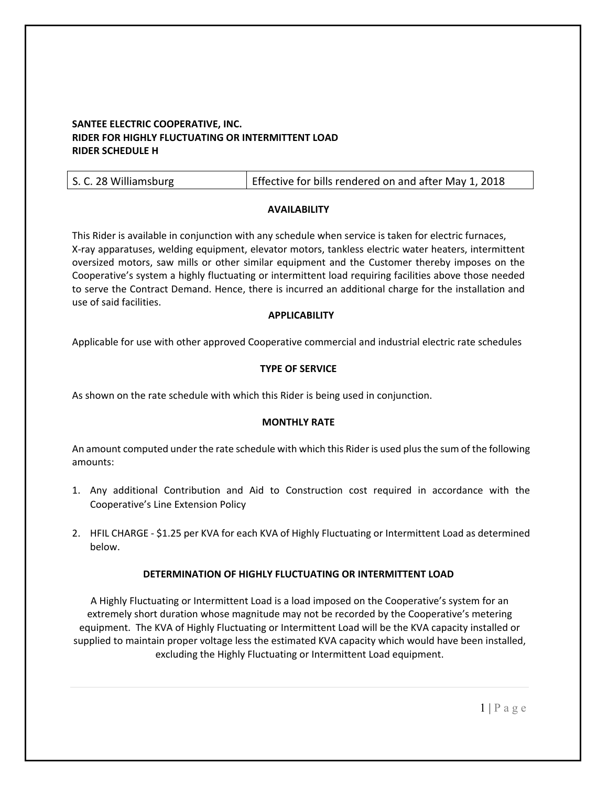# **SANTEE ELECTRIC COOPERATIVE, INC. RIDER FOR HIGHLY FLUCTUATING OR INTERMITTENT LOAD RIDER SCHEDULE H**

| S. C. 28 Williamsburg | Effective for bills rendered on and after May 1, 2018 |
|-----------------------|-------------------------------------------------------|
|-----------------------|-------------------------------------------------------|

## **AVAILABILITY**

This Rider is available in conjunction with any schedule when service is taken for electric furnaces, X‐ray apparatuses, welding equipment, elevator motors, tankless electric water heaters, intermittent oversized motors, saw mills or other similar equipment and the Customer thereby imposes on the Cooperative's system a highly fluctuating or intermittent load requiring facilities above those needed to serve the Contract Demand. Hence, there is incurred an additional charge for the installation and use of said facilities.

## **APPLICABILITY**

Applicable for use with other approved Cooperative commercial and industrial electric rate schedules

## **TYPE OF SERVICE**

As shown on the rate schedule with which this Rider is being used in conjunction.

#### **MONTHLY RATE**

An amount computed under the rate schedule with which this Rider is used plus the sum of the following amounts:

- 1. Any additional Contribution and Aid to Construction cost required in accordance with the Cooperative's Line Extension Policy
- 2. HFIL CHARGE ‐ \$1.25 per KVA for each KVA of Highly Fluctuating or Intermittent Load as determined below.

## **DETERMINATION OF HIGHLY FLUCTUATING OR INTERMITTENT LOAD**

A Highly Fluctuating or Intermittent Load is a load imposed on the Cooperative's system for an extremely short duration whose magnitude may not be recorded by the Cooperative's metering equipment. The KVA of Highly Fluctuating or Intermittent Load will be the KVA capacity installed or supplied to maintain proper voltage less the estimated KVA capacity which would have been installed, excluding the Highly Fluctuating or Intermittent Load equipment.